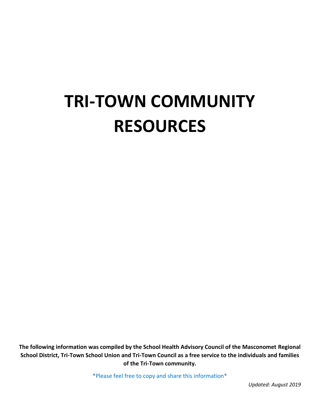**The following information was compiled by the School Health Advisory Council of the Masconomet Regional School District, Tri-Town School Union and Tri-Town Council as a free service to the individuals and families of the Tri-Town community.**

\*Please feel free to copy and share this information\*

*Updated: August 2019*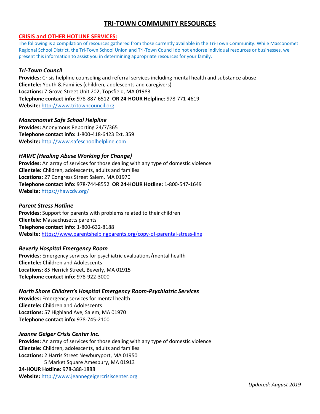## **CRISIS and OTHER HOTLINE SERVICES:**

The following is a compilation of resources gathered from those currently available in the Tri-Town Community. While Masconomet Regional School District, the Tri-Town School Union and Tri-Town Council do not endorse individual resources or businesses, we present this information to assist you in determining appropriate resources for your family.

## *Tri-Town Council*

**Provides:** Crisis helpline counseling and referral services including mental health and substance abuse **Clientele:** Youth & Families (children, adolescents and caregivers) **Locations:** 7 Grove Street Unit 202, Topsfield, MA 01983 **Telephone contact info:** 978-887-6512 **OR 24-HOUR Helpline:** 978-771-4619 **Website:** [http://www.tritowncouncil.org](http://www.tritowncouncil.org/)

## *Masconomet Safe School Helpline*

**Provides:** Anonymous Reporting 24/7/365 **Telephone contact info:** 1-800-418-6423 Ext. 359 **Website:** [http://www.safeschoolhelpline.com](http://www.safeschoolhelpline.com/)

## *HAWC (Healing Abuse Working for Change)*

**Provides:** An array of services for those dealing with any type of domestic violence **Clientele:** Children, adolescents, adults and families **Locations:** 27 Congress Street Salem, MA 01970 **Telephone contact info:** 978-744-8552 **OR 24-HOUR Hotline:** 1-800-547-1649 **Website:** <https://hawcdv.org/>

#### *Parent Stress Hotline*

**Provides:** Support for parents with problems related to their children **Clientele:** Massachusetts parents **Telephone contact info:** 1-800-632-8188 **Website:** <https://www.parentshelpingparents.org/copy-of-parental-stress-line>

## *Beverly Hospital Emergency Room*

**Provides:** Emergency services for psychiatric evaluations/mental health **Clientele:** Children and Adolescents **Locations:** 85 Herrick Street, Beverly, MA 01915 **Telephone contact info:** 978-922-3000

## *North Shore Children's Hospital Emergency Room-Psychiatric Services*

**Provides:** Emergency services for mental health **Clientele:** Children and Adolescents **Locations:** 57 Highland Ave, Salem, MA 01970 **Telephone contact info:** 978-745-2100

## *Jeanne Geiger Crisis Center Inc.*

**Provides:** An array of services for those dealing with any type of domestic violence **Clientele:** Children, adolescents, adults and families **Locations:** 2 Harris Street Newburyport, MA 01950 5 Market Square Amesbury, MA 01913 **24-HOUR Hotline:** 978-388-1888 **Website:** [http://www.jeannegeigercrisiscenter.org](http://www.jeannegeigercrisiscenter.org/)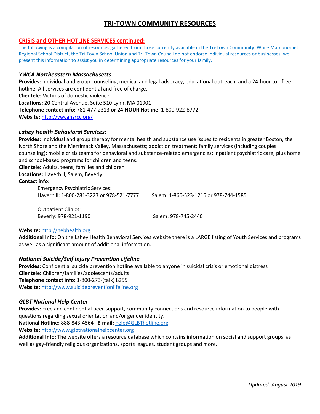## **CRISIS and OTHER HOTLINE SERVICES continued:**

The following is a compilation of resources gathered from those currently available in the Tri-Town Community. While Masconomet Regional School District, the Tri-Town School Union and Tri-Town Council do not endorse individual resources or businesses, we present this information to assist you in determining appropriate resources for your family.

## *YWCA Northeastern Massachusetts*

**Provides:** Individual and group counseling, medical and legal advocacy, educational outreach, and a 24-hour toll-free hotline. All services are confidential and free of charge. **Clientele:** Victims of domestic violence **Locations:** 20 Central Avenue, Suite 510 Lynn, MA 01901 **Telephone contact info:** 781-477-2313 **or 24-HOUR Hotline**: 1-800-922-8772 **Website:** <http://ywcansrcc.org/>

## *Lahey Health Behavioral Services:*

**Provides:** Individual and group therapy for mental health and substance use issues to residents in greater Boston, the North Shore and the Merrimack Valley, Massachusetts; addiction treatment; family services (including couples counseling); mobile crisis teams for behavioral and substance-related emergencies; inpatient psychiatric care, plus home and school-based programs for children and teens.

**Clientele:** Adults, teens, families and children **Locations:** Haverhill, Salem, Beverly

## **Contact info:**

Emergency Psychiatric Services: Haverhill: 1-800-281-3223 or 978-521-7777 Salem: 1-866-523-1216 or 978-744-1585

Outpatient Clinics: Beverly: 978-921-1190 Salem: 978-745-2440

## **Website:** [http://nebhealth.org](http://nebhealth.org/)

**Additional Info:** On the Lahey Health Behavioral Services website there is a LARGE listing of Youth Services and programs as well as a significant amount of additional information.

## *National Suicide/Self Injury Prevention Lifeline*

**Provides:** Confidential suicide prevention hotline available to anyone in suicidal crisis or emotional distress **Clientele:** Children/families/adolescents/adults **Telephone contact info:** 1-800-273-(talk) 8255 **Website:** [http://www.suicidepreventionlifeline.org](http://www.suicidepreventionlifeline.org/)

## *GLBT National Help Center*

**Provides:** Free and confidential peer-support, community connections and resource information to people with questions regarding sexual orientation and/or gender identity.

**National Hotline:** 888-843-4564 **E-mail:** [help@GLBThotline.org](mailto:help@GLBThotline.org) 

**Website:** [http://www.glbtnationalhelpcenter.org](http://www.glbtnationalhelpcenter.org/)

**Additional Info:** The website offers a resource database which contains information on social and support groups, as well as gay-friendly religious organizations, sports leagues, student groups and more.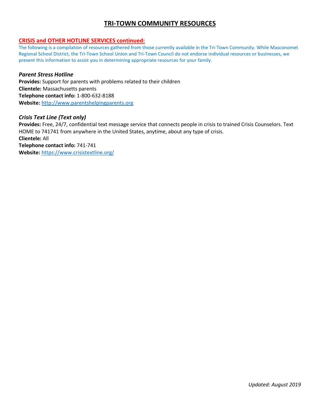## **CRISIS and OTHER HOTLINE SERVICES continued:**

The following is a compilation of resources gathered from those currently available in the Tri-Town Community. While Masconomet Regional School District, the Tri-Town School Union and Tri-Town Council do not endorse individual resources or businesses, we present this information to assist you in determining appropriate resources for your family.

## *Parent Stress Hotline*

**Provides:** Support for parents with problems related to their children **Clientele:** Massachusetts parents **Telephone contact info:** 1-800-632-8188 **Website:** [http://www.parentshelpingparents.org](http://www.parentshelpingparents.org/)

## *Crisis Text Line (Text only)*

**Provides:** Free, 24/7, confidential text message service that connects people in crisis to trained Crisis Counselors. Text HOME to 741741 from anywhere in the United States, anytime, about any type of crisis.

**Clientele:** All **Telephone contact info:** 741-741 **Website:** <https://www.crisistextline.org/>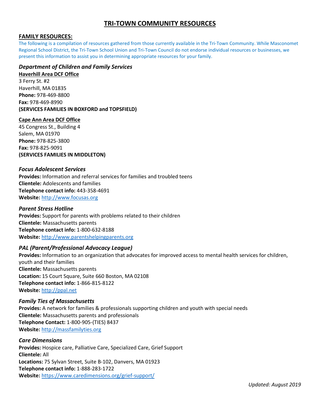## **FAMILY RESOURCES:**

The following is a compilation of resources gathered from those currently available in the Tri-Town Community. While Masconomet Regional School District, the Tri-Town School Union and Tri-Town Council do not endorse individual resources or businesses, we present this information to assist you in determining appropriate resources for your family.

## *Department of Children and Family Services*

#### **Haverhill Area DCF Office**

3 Ferry St. #2 Haverhill, MA 01835 **Phone:** 978-469-8800 **Fax:** 978-469-8990 **(SERVICES FAMILIES IN BOXFORD and TOPSFIELD)** 

## **Cape Ann Area DCF Office**

45 Congress St., Building 4 Salem, MA 01970 **Phone:** 978-825-3800 **Fax:** 978-825-9091 **(SERVICES FAMILIES IN MIDDLETON)** 

## *Focus Adolescent Services*

**Provides:** Information and referral services for families and troubled teens **Clientele:** Adolescents and families **Telephone contact info:** 443-358-4691 **Website:** [http://www.focusas.org](http://www.focusas.org/)

#### *Parent Stress Hotline*

**Provides:** Support for parents with problems related to their children **Clientele:** Massachusetts parents **Telephone contact info:** 1-800-632-8188 **Website:** [http://www.parentshelpingparents.org](http://www.parentshelpingparents.org/)

## *PAL (Parent/Professional Advocacy League)*

**Provides:** Information to an organization that advocates for improved access to mental health services for children, youth and their families **Clientele:** Massachusetts parents **Location:** 15 Court Square, Suite 660 Boston, MA 02108 **Telephone contact info:** 1-866-815-8122 **Website:** [http://ppal.net](http://ppal.net/)

## *Family Ties of Massachusetts*

**Provides:** A network for families & professionals supporting children and youth with special needs **Clientele:** Massachusetts parents and professionals **Telephone Contact:** 1-800-905-(TIES) 8437 **Website:** [http://massfamilyties.org](http://massfamilyties.org/)

## *Care Dimensions*

**Provides:** Hospice care, Palliative Care, Specialized Care, Grief Support **Clientele:** All **Locations:** 75 Sylvan Street, Suite B-102, Danvers, MA 01923 **Telephone contact info:** 1-888-283-1722 **Website:** <https://www.caredimensions.org/grief-support/>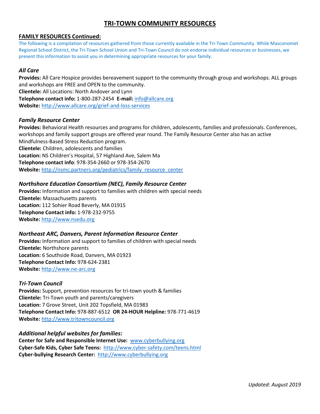## **FAMILY RESOURCES Continued:**

The following is a compilation of resources gathered from those currently available in the Tri-Town Community. While Masconomet Regional School District, the Tri-Town School Union and Tri-Town Council do not endorse individual resources or businesses, we present this information to assist you in determining appropriate resources for your family.

## *All Care*

**Provides:** All Care Hospice provides bereavement support to the community through group and workshops. ALL groups and workshops are FREE and OPEN to the community. **Clientele:** All Locations: North Andover and Lynn **Telephone contact info:** 1-800-287-2454 **E-mail:** [info@allcare.org](mailto:info@allcare.org) **Website:** <http://www.allcare.org/grief-and-loss-services>

## *Family Resource Center*

**Provides:** Behavioral Health resources and programs for children, adolescents, families and professionals. Conferences, workshops and family support groups are offered year round. The Family Resource Center also has an active Mindfulness-Based Stress Reduction program. **Clientele:** Children, adolescents and families **Location:** NS Children's Hospital, 57 Highland Ave, Salem Ma **Telephone contact info**: 978-354-2660 or 978-354-2670

**Website:** [http://nsmc.partners.org/pediatrics/family\\_resource\\_center](http://nsmc.partners.org/pediatrics/family_resource_center)

## *Northshore Education Consortium (NEC), Family Resource Center*

**Provides:** Information and support to families with children with special needs **Clientele:** Massachusetts parents **Location:** 112 Sohier Road Beverly, MA 01915 **Telephone Contact info:** 1-978-232-9755 **Website:** [http://www.nsedu.org](http://www.nsedu.org/)

## *Northeast ARC, Danvers, Parent Information Resource Center*

**Provides:** Information and support to families of children with special needs **Clientele:** Northshore parents **Location:** 6 Southside Road, Danvers, MA 01923 **Telephone Contact Info:** 978-624-2381 **Website:** [http://www.ne-arc.org](http://www.ne-arc.org/)

## *Tri-Town Council*

**Provides:** Support, prevention resources for tri-town youth & families **Clientele:** Tri-Town youth and parents/caregivers **Location:** 7 Grove Street, Unit 202 Topsfield, MA 01983 **Telephone Contact Info:** 978-887-6512 **OR 24-HOUR Helpline:** 978-771-4619 **Website:** [http://www.tritowncouncil.org](http://www.tritowncouncil.org/)

## *Additional helpful websites for families:*

**Center for Safe and Responsible Internet Use:** [www.cyberbullying.org](http://www.cyberbullying.org/) **Cyber-Safe Kids, Cyber Safe Teens:** <http://www.cyber-safety.com/teens.html> **Cyber-bullying Research Center:** [http://www.cyberbullying.org](http://www.cyberbullying.org/)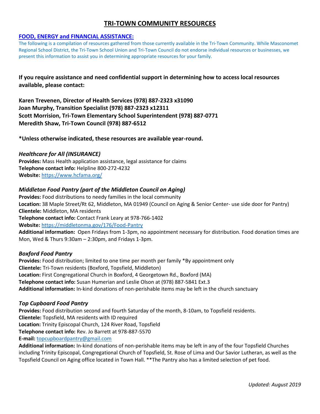## **FOOD, ENERGY and FINANCIAL ASSISTANCE:**

The following is a compilation of resources gathered from those currently available in the Tri-Town Community. While Masconomet Regional School District, the Tri-Town School Union and Tri-Town Council do not endorse individual resources or businesses, we present this information to assist you in determining appropriate resources for your family.

**If you require assistance and need confidential support in determining how to access local resources available, please contact:** 

**Karen Trevenen, Director of Health Services (978) 887-2323 x31090 Joan Murphy, Transition Specialist (978) 887-2323 x12311 Scott Morrision, Tri-Town Elementary School Superintendent (978) 887-0771 Meredith Shaw, Tri-Town Council (978) 887-6512** 

**\*Unless otherwise indicated, these resources are available year-round.** 

## *Healthcare for All (INSURANCE)*

**Provides:** Mass Health application assistance, legal assistance for claims **Telephone contact info:** Helpline 800-272-4232 **Website:** <https://www.hcfama.org/>

## *Middleton Food Pantry (part of the Middleton Council on Aging)*

**Provides:** Food distributions to needy families in the local community **Location:** 38 Maple Street/Rt 62, Middleton, MA 01949 (Council on Aging & Senior Center- use side door for Pantry) **Clientele:** Middleton, MA residents **Telephone contact info:** Contact Frank Leary at 978-766-1402 **Website:** <https://middletonma.gov/176/Food-Pantry> **Additional information:** Open Fridays from 1-3pm, no appointment necessary for distribution. Food donation times are Mon, Wed & Thurs 9:30am – 2:30pm, and Fridays 1-3pm.

## *Boxford Food Pantry*

**Provides:** Food distribution; limited to one time per month per family \*By appointment only **Clientele:** Tri-Town residents (Boxford, Topsfield, Middleton) **Location:** First Congregational Church in Boxford, 4 Georgetown Rd., Boxford (MA) **Telephone contact info:** Susan Humerian and Leslie Olson at (978) 887-5841 Ext.3 **Additional information:** In-kind donations of non-perishable items may be left in the church sanctuary

## *Top Cupboard Food Pantry*

**Provides:** Food distribution second and fourth Saturday of the month, 8-10am, to Topsfield residents. **Clientele:** Topsfield, MA residents with ID required **Location:** Trinity Episcopal Church, 124 River Road, Topsfield **Telephone contact info:** Rev. Jo Barrett at 978-887-5570 **E-mail:** [topcupboardpantry@gmail.com](mailto:topcupboardpantry@gmail.com)

**Additional information:** In-kind donations of non-perishable items may be left in any of the four Topsfield Churches including Trinity Episcopal, Congregational Church of Topsfield, St. Rose of Lima and Our Savior Lutheran, as well as the Topsfield Council on Aging office located in Town Hall. \*\*The Pantry also has a limited selection of pet food.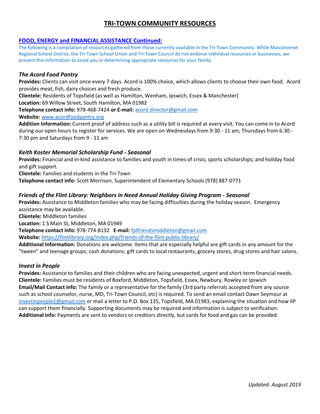## **FOOD, ENERGY and FINANCIAL ASSISTANCE Continued:**

The following is a compilation of resources gathered from those currently available in the Tri-Town Community. While Masconomet Regional School District, the Tri-Town School Union and Tri-Town Council do not endorse individual resources or businesses, we present this information to assist you in determining appropriate resources for your family.

## *The Acord Food Pantry*

**Provides:** Clients can visit once every 7 days. Acord is 100% choice, which allows clients to choose their own food. Acord provides meat, fish, dairy choices and fresh produce.

**Clientele:** Residents of Topsfield (as well as Hamilton, Wenham, Ipswich, Essex & Manchester)

**Location:** 69 Willow Street, South Hamilton, MA 01982

**Telephone contact info:** 978-468-7424 **or E-mail:** [acord.director@gmail.com](mailto:acord.director@gmail.com)

#### **Website:** [www.acordfoodpantry.org](http://www.acordfoodpantry.org/)

**Addition Information:** Current proof of address such as a utility bill is required at every visit. You can come in to Acord during our open hours to register for services. We are open on Wednesdays from 9:30 - 11 am, Thursdays from 6:30 - 7:30 pm and Saturdays from 9 - 11 am

## *Keith Koster Memorial Scholarship Fund - Seasonal*

**Provides:** Financial and in-kind assistance to families and youth in times of crisis; sports scholarships; and holiday food and gift support.

**Clientele:** Families and students in the Tri-Town

**Telephone contact info:** Scott Morrison, Superintendent of Elementary Schools (978) 887-0771

## *Friends of the Flint Library: Neighbors in Need Annual Holiday Giving Program - Seasonal*

**Provides:** Assistance to Middleton families who may be facing difficulties during the holiday season. Emergency assistance may be available.

**Clientele:** Middleton families

**Location:** 1 S Main St, Middleton, MA 01949

**Telephone contact info:** 978-774-8132 **E-mail:** [fplfriendsmiddleton@gmail.com](mailto:fplfriendsmiddleton@gmail.com)

**Website:** <https://flintlibrary.org/index.php/friends-of-the-flint-public-library/>

**Additional Information:** Donations are welcome. Items that are especially helpful are gift cards in any amount for the "tween" and teenage groups; cash donations; gift cards to local restaurants, grocery stores, drug stores and hair salons.

## *Invest in People*

**Provides:** Assistance to families and their children who are facing unexpected, urgent and short-term financial needs. **Clientele:** Families must be residents of Boxford, Middleton, Topsfield, Essex, Newbury, Rowley or Ipswich **Email/Mail Contact info:** The family or a representative for the family (3rd party referrals accepted from any source such as school counselor, nurse, MD, Tri-Town Council, etc) is required. To send an email contact Dawn Seymour at [investinpeople1@gmail.com](mailto:investinpeople1@gmail.com) or mail a letter to P.O. Box 135, Topsfield, MA 01983, explaining the situation and how IIP can support them financially. Supporting documents may be required and information is subject to verification. **Additional info:** Payments are sent to vendors or creditors directly, but cards for food and gas can be provided.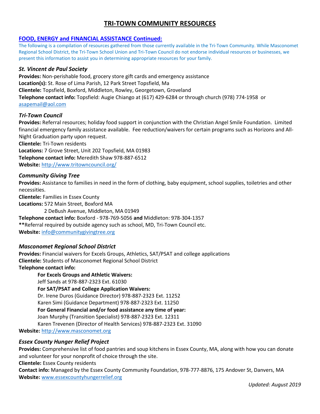## **FOOD, ENERGY and FINANCIAL ASSISTANCE Continued:**

The following is a compilation of resources gathered from those currently available in the Tri-Town Community. While Masconomet Regional School District, the Tri-Town School Union and Tri-Town Council do not endorse individual resources or businesses, we present this information to assist you in determining appropriate resources for your family.

## *St. Vincent de Paul Society*

**Provides:** Non-perishable food, grocery store gift cards and emergency assistance **Location(s):** St. Rose of Lima Parish, 12 Park Street Topsfield, Ma **Clientele:** Topsfield, Boxford, Middleton, Rowley, Georgetown, Groveland **Telephone contact info:** Topsfield: Augie Chiango at (617) 429-6284 or through church (978) 774-1958 or [asapemail@aol.com](mailto:asapemail@aol.com) 

## *Tri-Town Council*

**Provides:** Referral resources; holiday food support in conjunction with the Christian Angel Smile Foundation. Limited financial emergency family assistance available. Fee reduction/waivers for certain programs such as Horizons and All-Night Graduation party upon request. **Clientele:** Tri-Town residents **Locations:** 7 Grove Street, Unit 202 Topsfield, MA 01983

**Telephone contact info:** Meredith Shaw 978-887-6512

**Website:** <http://www.tritowncouncil.org/>

## *Community Giving Tree*

**Provides:** Assistance to families in need in the form of clothing, baby equipment, school supplies, toiletries and other necessities.

**Clientele:** Families in Essex County

**Locations:** 572 Main Street, Boxford MA

2 DeBush Avenue, Middleton, MA 01949 **Telephone contact info:** Boxford - 978-769-5056 **and** Middleton: 978-304-1357 **\*\***Referral required by outside agency such as school, MD, Tri-Town Council etc. **Website:** [info@communitygivingtree.org](mailto:info@communitygivingtree.org)

## *Masconomet Regional School District*

**Provides:** Financial waivers for Excels Groups, Athletics, SAT/PSAT and college applications **Clientele:** Students of Masconomet Regional School District **Telephone contact info:**

**For Excels Groups and Athletic Waivers:** Jeff Sands at 978-887-2323 Ext. 61030 **For SAT/PSAT and College Application Waivers:** Dr. Irene Duros (Guidance Director) 978-887-2323 Ext. 11252 Karen Simi (Guidance Department) 978-887-2323 Ext. 11250 **For General Financial and/or food assistance any time of year:**  Joan Murphy (Transition Specialist) 978-887-2323 Ext. 12311 Karen Trevenen (Director of Health Services) 978-887-2323 Ext. 31090 **Website:** [http://www.masconomet.org](http://www.masconomet.org/)

## *Essex County Hunger Relief Project*

**Provides:** Comprehensive list of food pantries and soup kitchens in Essex County, MA, along with how you can donate and volunteer for your nonprofit of choice through the site.

## **Clientele:** Essex County residents

**Contact info:** Managed by the Essex County Community Foundation, 978-777-8876, 175 Andover St, Danvers, MA **Website:** [www.essexcountyhungerrelief.org](http://www.essexcountyhungerrelief.org/)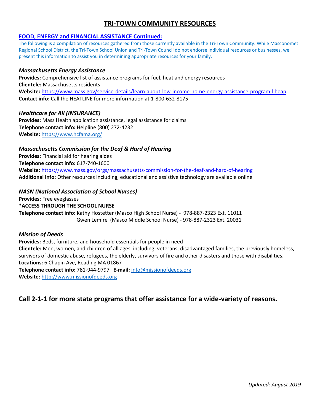## **FOOD, ENERGY and FINANCIAL ASSISTANCE Continued:**

The following is a compilation of resources gathered from those currently available in the Tri-Town Community. While Masconomet Regional School District, the Tri-Town School Union and Tri-Town Council do not endorse individual resources or businesses, we present this information to assist you in determining appropriate resources for your family.

## *Massachusetts Energy Assistance*

**Provides:** Comprehensive list of assistance programs for fuel, heat and energy resources **Clientele:** Massachusetts residents **Website:** <https://www.mass.gov/service-details/learn-about-low-income-home-energy-assistance-program-liheap> **Contact info:** Call the HEATLINE for more information at 1-800-632-8175

## *Healthcare for All (INSURANCE)*

**Provides:** Mass Health application assistance, legal assistance for claims **Telephone contact info:** Helpline (800) 272-4232 **Website:** <https://www.hcfama.org/>

## *Massachusetts Commission for the Deaf & Hard of Hearing*

**Provides:** Financial aid for hearing aides **Telephone contact info:** 617-740-1600 **Website:** <https://www.mass.gov/orgs/massachusetts-commission-for-the-deaf-and-hard-of-hearing> **Additional info:** Other resources including, educational and assistive technology are available online

## *NASN (National Association of School Nurses)*

**Provides:** Free eyeglasses **\*ACCESS THROUGH THE SCHOOL NURSE Telephone contact info:** Kathy Hostetter (Masco High School Nurse) - 978-887-2323 Ext. 11011 Gwen Lemire (Masco Middle School Nurse) - 978-887-2323 Ext. 20031

## *Mission of Deeds*

**Provides:** Beds, furniture, and household essentials for people in need **Clientele:** Men, women, and children of all ages, including: veterans, disadvantaged families, the previously homeless, survivors of domestic abuse, refugees, the elderly, survivors of fire and other disasters and those with disabilities. **Locations:** 6 Chapin Ave, Reading MA 01867 **Telephone contact info:** 781-944-9797 **E-mail:** [info@missionofdeeds.org](mailto:info@missionofdeeds.org) **Website:** [http://www.missionofdeeds.org](http://www.missionofdeeds.org/)

# **Call 2-1-1 for more state programs that offer assistance for a wide-variety of reasons.**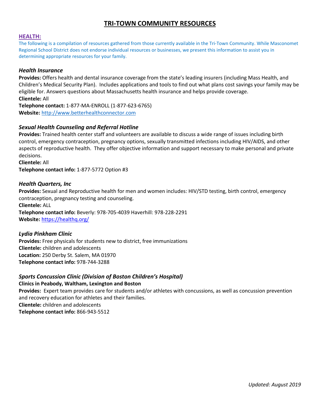#### **HEALTH:**

The following is a compilation of resources gathered from those currently available in the Tri-Town Community. While Masconomet Regional School District does not endorse individual resources or businesses, we present this information to assist you in determining appropriate resources for your family.

## *Health Insurance*

**Provides:** Offers health and dental insurance coverage from the state's leading insurers (including Mass Health, and Children's Medical Security Plan). Includes applications and tools to find out what plans cost savings your family may be eligible for. Answers questions about Massachusetts health insurance and helps provide coverage. **Clientele:** All

**Telephone contact:** 1-877-MA-ENROLL (1-877-623-6765) **Website:** [http://www.betterhealthconnector.com](http://www.betterhealthconnector.com/)

## *Sexual Health Counseling and Referral Hotline*

**Provides:** Trained health center staff and volunteers are available to discuss a wide range of issues including birth control, emergency contraception, pregnancy options, sexually transmitted infections including HIV/AIDS, and other aspects of reproductive health. They offer objective information and support necessary to make personal and private decisions.

**Clientele:** All **Telephone contact info:** 1-877-5772 Option #3

## *Health Quarters, Inc*

**Provides:** Sexual and Reproductive health for men and women includes: HIV/STD testing, birth control, emergency contraception, pregnancy testing and counseling. **Clientele:** ALL

**Telephone contact info:** Beverly: 978-705-4039 Haverhill: 978-228-2291 **Website:** <https://healthq.org/>

## *Lydia Pinkham Clinic*

**Provides:** Free physicals for students new to district, free immunizations **Clientele:** children and adolescents **Location:** 250 Derby St. Salem, MA 01970 **Telephone contact info:** 978-744-3288

## *Sports Concussion Clinic (Division of Boston Children's Hospital)*

**Clinics in Peabody, Waltham, Lexington and Boston** 

**Provides:** Expert team provides care for students and/or athletes with concussions, as well as concussion prevention and recovery education for athletes and their families. **Clientele:** children and adolescents **Telephone contact info:** 866-943-5512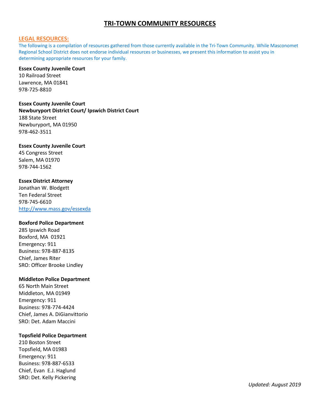#### **LEGAL RESOURCES:**

The following is a compilation of resources gathered from those currently available in the Tri-Town Community. While Masconomet Regional School District does not endorse individual resources or businesses, we present this information to assist you in determining appropriate resources for your family.

## **Essex County Juvenile Court**

10 Railroad Street Lawrence, MA 01841 978-725-8810

#### **Essex County Juvenile Court**

**Newburyport District Court/ Ipswich District Court**  188 State Street Newburyport, MA 01950 978-462-3511

#### **Essex County Juvenile Court**

45 Congress Street Salem, MA 01970 978-744-1562

## **Essex District Attorney**

Jonathan W. Blodgett Ten Federal Street 978-745-6610 <http://www.mass.gov/essexda>

#### **Boxford Police Department**

285 Ipswich Road Boxford, MA 01921 Emergency: 911 Business: 978-887-8135 Chief, James Riter SRO: Officer Brooke Lindley

## **Middleton Police Department**

65 North Main Street Middleton, MA 01949 Emergency: 911 Business: 978-774-4424 Chief, James A. DiGianvittorio SRO: Det. Adam Maccini

#### **Topsfield Police Department**

210 Boston Street Topsfield, MA 01983 Emergency: 911 Business: 978-887-6533 Chief, Evan E.J. Haglund SRO: Det. Kelly Pickering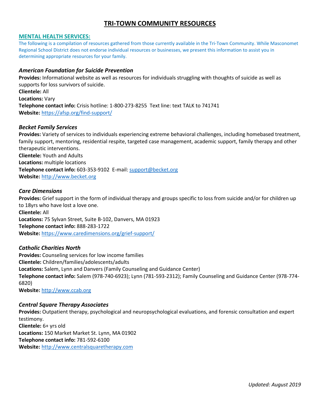## **MENTAL HEALTH SERVICES:**

The following is a compilation of resources gathered from those currently available in the Tri-Town Community. While Masconomet Regional School District does not endorse individual resources or businesses, we present this information to assist you in determining appropriate resources for your family.

## *American Foundation for Suicide Prevention*

**Provides:** Informational website as well as resources for individuals struggling with thoughts of suicide as well as supports for loss survivors of suicide. **Clientele:** All **Locations:** Vary **Telephone contact info:** Crisis hotline: 1-800-273-8255 Text line: text TALK to 741741 **Website:** <https://afsp.org/find-support/>

## *Becket Family Services*

**Provides:** Variety of services to individuals experiencing extreme behavioral challenges, including homebased treatment, family support, mentoring, residential respite, targeted case management, academic support, family therapy and other therapeutic interventions. **Clientele:** Youth and Adults **Locations:** multiple locations **Telephone contact info:** 603-353-9102 E-mail[: support@becket.org](mailto:support@becket.org) **Website:** [http://www.becket.org](http://www.becket.org/)

#### *Care Dimensions*

**Provides:** Grief support in the form of individual therapy and groups specific to loss from suicide and/or for children up to 18yrs who have lost a love one. **Clientele:** All **Locations:** 75 Sylvan Street, Suite B-102, Danvers, MA 01923 **Telephone contact info:** 888-283-1722 **Website:** <https://www.caredimensions.org/grief-support/>

## *Catholic Charities North*

**Provides:** Counseling services for low income families **Clientele:** Children/families/adolescents/adults **Locations:** Salem, Lynn and Danvers (Family Counseling and Guidance Center) **Telephone contact info:** Salem (978-740-6923); Lynn (781-593-2312); Family Counseling and Guidance Center (978-774- 6820)

**Website:** [http://www.ccab.org](http://www.ccab.org/)

## *Central Square Therapy Associates*

**Provides:** Outpatient therapy, psychological and neuropsychological evaluations, and forensic consultation and expert testimony. **Clientele:** 6+ yrs old **Locations:** 150 Market Market St. Lynn, MA 01902 **Telephone contact info:** 781-592-6100 **Website:** [http://www.centralsquaretherapy.com](http://www.centralsquaretherapy.com/)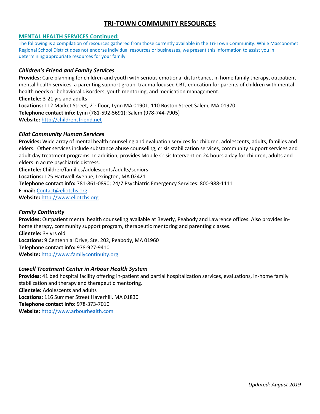## **MENTAL HEALTH SERVICES Continued:**

The following is a compilation of resources gathered from those currently available in the Tri-Town Community. While Masconomet Regional School District does not endorse individual resources or businesses, we present this information to assist you in determining appropriate resources for your family.

## *Children's Friend and Family Services*

**Provides:** Care planning for children and youth with serious emotional disturbance, in home family therapy, outpatient mental health services, a parenting support group, trauma focused CBT, education for parents of children with mental health needs or behavioral disorders, youth mentoring, and medication management. **Clientele:** 3-21 yrs and adults **Locations:** 112 Market Street, 2nd floor, Lynn MA 01901; 110 Boston Street Salem, MA 01970 **Telephone contact info:** Lynn (781-592-5691); Salem (978-744-7905) **Website:** [http://childrensfriend.net](http://childrensfriend.net/)

## *Eliot Community Human Services*

**Provides:** Wide array of mental health counseling and evaluation services for children, adolescents, adults, families and elders. Other services include substance abuse counseling, crisis stabilization services, community support services and adult day treatment programs. In addition, provides Mobile Crisis Intervention 24 hours a day for children, adults and elders in acute psychiatric distress.

**Clientele:** Children/families/adolescents/adults/seniors **Locations:** 125 Hartwell Avenue, Lexington, MA 02421 **Telephone contact info:** 781-861-0890; 24/7 Psychiatric Emergency Services: 800-988-1111 **E-mail:** [Contact@eliotchs.org](mailto:Contact@eliotchs.org) **Website:** [http://www.eliotchs.org](http://www.eliotchs.org/)

## *Family Continuity*

**Provides:** Outpatient mental health counseling available at Beverly, Peabody and Lawrence offices. Also provides inhome therapy, community support program, therapeutic mentoring and parenting classes. **Clientele:** 3+ yrs old **Locations:** 9 Centennial Drive, Ste. 202, Peabody, MA 01960 **Telephone contact info:** 978-927-9410 **Website:** [http://www.familycontinuity.org](http://www.familycontinuity.org/)

## *Lowell Treatment Center in Arbour Health System*

**Provides:** 41 bed hospital facility offering in-patient and partial hospitalization services, evaluations, in-home family stabilization and therapy and therapeutic mentoring. **Clientele:** Adolescents and adults **Locations:** 116 Summer Street Haverhill, MA 01830 **Telephone contact info:** 978-373-7010 **Website:** [http://www.arbourhealth.com](http://www.arbourhealth.com/)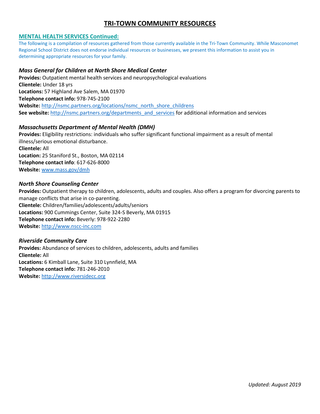## **MENTAL HEALTH SERVICES Continued:**

The following is a compilation of resources gathered from those currently available in the Tri-Town Community. While Masconomet Regional School District does not endorse individual resources or businesses, we present this information to assist you in determining appropriate resources for your family.

## *Mass General for Children at North Shore Medical Center*

**Provides:** Outpatient mental health services and neuropsychological evaluations **Clientele:** Under 18 yrs **Locations:** 57 Highland Ave Salem, MA 01970 **Telephone contact info:** 978-745-2100 Website: [http://nsmc.partners.org/locations/nsmc\\_north\\_shore\\_childrens](http://nsmc.partners.org/locations/nsmc_north_shore_childrens) **See website:** [http://nsmc.partners.org/departments\\_and\\_services](http://nsmc.partners.org/departments_and_services) for additional information and services

## *Massachusetts Department of Mental Health (DMH)*

**Provides:** Eligibility restrictions: individuals who suffer significant functional impairment as a result of mental illness/serious emotional disturbance. **Clientele:** All **Location:** 25 Staniford St., Boston, MA 02114 **Telephone contact info**: 617-626-8000 **Website:** [www.mass.gov/dmh](http://www.mass.gov/dmh)

## *North Shore Counseling Center*

**Provides:** Outpatient therapy to children, adolescents, adults and couples. Also offers a program for divorcing parents to manage conflicts that arise in co-parenting. **Clientele:** Children/families/adolescents/adults/seniors **Locations:** 900 Cummings Center, Suite 324-S Beverly, MA 01915 **Telephone contact info:** Beverly: 978-922-2280 **Website:** [http://www.nscc-inc.com](http://www.nscc-inc.com/) 

## *Riverside Community Care*

**Provides:** Abundance of services to children, adolescents, adults and families **Clientele:** All **Locations:** 6 Kimball Lane, Suite 310 Lynnfield, MA **Telephone contact info:** 781-246-2010 **Website:** [http://www.riversidecc.org](http://www.riversidecc.org/)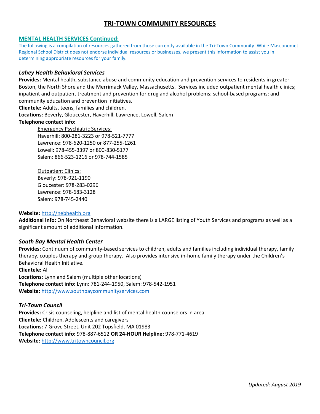## **MENTAL HEALTH SERVICES Continued:**

The following is a compilation of resources gathered from those currently available in the Tri-Town Community. While Masconomet Regional School District does not endorse individual resources or businesses, we present this information to assist you in determining appropriate resources for your family.

#### *Lahey Health Behavioral Services*

**Provides:** Mental health, substance abuse and community education and prevention services to residents in greater Boston, the North Shore and the Merrimack Valley, Massachusetts. Services included outpatient mental health clinics; inpatient and outpatient treatment and prevention for drug and alcohol problems; school-based programs; and community education and prevention initiatives.

**Clientele:** Adults, teens, families and children.

**Locations:** Beverly, Gloucester, Haverhill, Lawrence, Lowell, Salem

#### **Telephone contact info:**

Emergency Psychiatric Services: Haverhill: 800-281-3223 or 978-521-7777 Lawrence: 978-620-1250 or 877-255-1261 Lowell: 978-455-3397 or 800-830-5177 Salem: 866-523-1216 or 978-744-1585

Outpatient Clinics: Beverly: 978-921-1190 Gloucester: 978-283-0296 Lawrence: 978-683-3128 Salem: 978-745-2440

#### **Website:** [http://nebhealth.org](http://nebhealth.org/)

**Additional Info:** On Northeast Behavioral website there is a LARGE listing of Youth Services and programs as well as a significant amount of additional information.

## *South Bay Mental Health Center*

**Provides:** Continuum of community-based services to children, adults and families including individual therapy, family therapy, couples therapy and group therapy. Also provides intensive in-home family therapy under the Children's Behavioral Health Initiative.

**Clientele:** All **Locations:** Lynn and Salem (multiple other locations) **Telephone contact info:** Lynn: 781-244-1950, Salem: 978-542-1951 **Website:** [http://www.southbaycommunityservices.com](http://www.southbaycommunityservices.com/)

#### *Tri-Town Council*

**Provides:** Crisis counseling, helpline and list of mental health counselors in area **Clientele:** Children, Adolescents and caregivers **Locations:** 7 Grove Street, Unit 202 Topsfield, MA 01983 **Telephone contact info:** 978-887-6512 **OR 24-HOUR Helpline:** 978-771-4619 **Website:** [http://www.tritowncouncil.org](http://www.tritowncouncil.org/)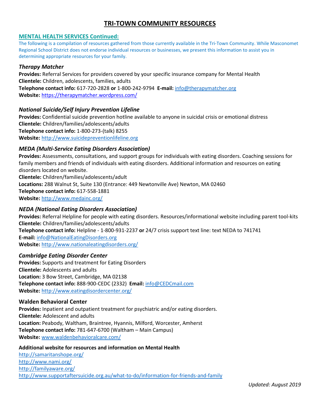## **MENTAL HEALTH SERVICES Continued:**

The following is a compilation of resources gathered from those currently available in the Tri-Town Community. While Masconomet Regional School District does not endorse individual resources or businesses, we present this information to assist you in determining appropriate resources for your family.

## *Therapy Matcher*

**Provides:** Referral Services for providers covered by your specific insurance company for Mental Health **Clientele:** Children, adolescents, families, adults **Telephone contact info:** 617-720-2828 **or** 1-800-242-9794 **E-mail:** [info@therapymatcher.org](mailto:info@therapymatcher.org) **Website:** <https://therapymatcher.wordpress.com/>

## *National Suicide/Self Injury Prevention Lifeline*

**Provides:** Confidential suicide prevention hotline available to anyone in suicidal crisis or emotional distress **Clientele:** Children/families/adolescents/adults **Telephone contact info:** 1-800-273-(talk) 8255 **Website:** [http://www.suicidepreventionlifeline.org](http://www.suicidepreventionlifeline.org/)

## *MEDA (Multi-Service Eating Disorders Association)*

**Provides:** Assessments, consultations, and support groups for individuals with eating disorders. Coaching sessions for family members and friends of individuals with eating disorders. Additional information and resources on eating disorders located on website. **Clientele:** Children/families/adolescents/adult **Locations:** 288 Walnut St, Suite 130 (Entrance: 449 Newtonville Ave) Newton, MA 02460 **Telephone contact info:** 617-558-1881 **Website:** <http://www.medainc.org/>

## *NEDA (National Eating Disorders Association)*

**Provides:** Referral Helpline for people with eating disorders. Resources/informational website including parent tool-kits **Clientele:** Children/families/adolescents/adults **Telephone contact info:** Helpline - 1-800-931-2237 **or** 24/7 crisis support text line: text NEDA to 741741

**E-mail:** [info@NationalEatingDisorders.org](mailto:info@NationalEatingDisorders.org) **Website:** <http://www.nationaleatingdisorders.org/>

## *Cambridge Eating Disorder Center*

**Provides:** Supports and treatment for Eating Disorders **Clientele:** Adolescents and adults **Location:** 3 Bow Street, Cambridge, MA 02138 **Telephone contact info:** 888-900-CEDC (2332) **Email:** [info@CEDCmail.com](mailto:info@CEDCmail.com) **Website:** <http://www.eatingdisordercenter.org/>

## **Walden Behavioral Center**

**Provides:** Inpatient and outpatient treatment for psychiatric and/or eating disorders. **Clientele:** Adolescent and adults **Location:** Peabody, Waltham, Braintree, Hyannis, Milford, Worcester, Amherst **Telephone contact info:** 781-647-6700 (Waltham – Main Campus) **Website:** [www.waldenbehavioralcare.com/](http://www.waldenbehavioralcare.com/)

## **Additional website for resources and information on Mental Health**

<http://samaritanshope.org/> <http://www.nami.org/> <http://familyaware.org/> <http://www.supportaftersuicide.org.au/what-to-do/information-for-friends-and-family>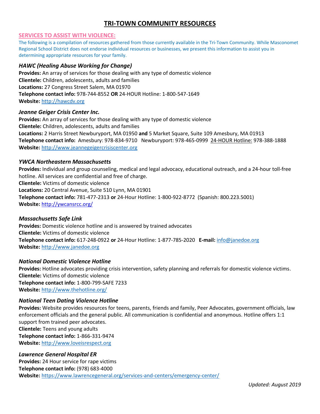## **SERVICES TO ASSIST WITH VIOLENCE:**

The following is a compilation of resources gathered from those currently available in the Tri-Town Community. While Masconomet Regional School District does not endorse individual resources or businesses, we present this information to assist you in determining appropriate resources for your family.

## *HAWC (Healing Abuse Working for Change)*

**Provides:** An array of services for those dealing with any type of domestic violence **Clientele:** Children, adolescents, adults and families **Locations:** 27 Congress Street Salem, MA 01970 **Telephone contact info:** 978-744-8552 **OR** 24-HOUR Hotline: 1-800-547-1649 **Website:** [http://hawcdv.org](http://hawcdv.org/)

#### *Jeanne Geiger Crisis Center Inc.*

**Provides:** An array of services for those dealing with any type of domestic violence **Clientele:** Children, adolescents, adults and families **Locations:** 2 Harris Street Newburyport, MA 01950 **and** 5 Market Square, Suite 109 Amesbury, MA 01913 **Telephone contact info:** Amesbury: 978-834-9710 Newburyport: 978-465-0999 24-HOUR Hotline: 978-388-1888 **Website:** [http://www.jeannegeigercrisiscenter.org](http://www.jeannegeigercrisiscenter.org/)

#### *YWCA Northeastern Massachusetts*

**Provides:** Individual and group counseling, medical and legal advocacy, educational outreach, and a 24-hour toll-free hotline. All services are confidential and free of charge. **Clientele:** Victims of domestic violence **Locations:** 20 Central Avenue, Suite 510 Lynn, MA 01901 **Telephone contact info:** 781-477-2313 **or** 24-Hour Hotline: 1-800-922-8772 (Spanish: 800.223.5001) **Website:** <http://ywcansrcc.org/>

## *Massachusetts Safe Link*

**Provides:** Domestic violence hotline and is answered by trained advocates **Clientele:** Victims of domestic violence **Telephone contact info:** 617-248-0922 **or** 24-Hour Hotline: 1-877-785-2020 **E-mail:** [info@janedoe.org](mailto:info@janedoe.org) **Website:** [http://www.janedoe.org](http://www.janedoe.org/)

#### *National Domestic Violence Hotline*

**Provides:** Hotline advocates providing crisis intervention, safety planning and referrals for domestic violence victims. **Clientele:** Victims of domestic violence **Telephone contact info:** 1-800-799-SAFE 7233 **Website:** <http://www.thehotline.org/>

#### *National Teen Dating Violence Hotline*

**Provides:** Website provides resources for teens, parents, friends and family, Peer Advocates, government officials, law enforcement officials and the general public. All communication is confidential and anonymous. Hotline offers 1:1 support from trained peer advocates. **Clientele:** Teens and young adults **Telephone contact info:** 1-866-331-9474 **Website:** [http://www.loveisrespect.org](http://www.loveisrespect.org/)

#### *Lawrence General Hospital ER*

**Provides:** 24 Hour service for rape victims **Telephone contact info:** (978) 683-4000 **Website:** <https://www.lawrencegeneral.org/services-and-centers/emergency-center/>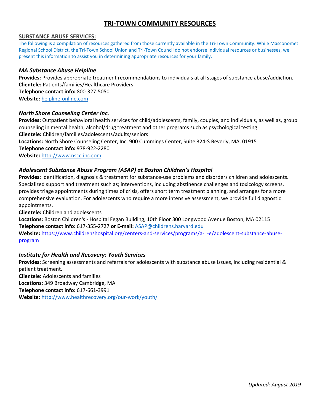## **SUBSTANCE ABUSE SERVICES:**

The following is a compilation of resources gathered from those currently available in the Tri-Town Community. While Masconomet Regional School District, the Tri-Town School Union and Tri-Town Council do not endorse individual resources or businesses, we present this information to assist you in determining appropriate resources for your family.

## *MA Substance Abuse Helpline*

**Provides:** Provides appropriate treatment recommendations to individuals at all stages of substance abuse/addiction. **Clientele:** Patients/families/Healthcare Providers **Telephone contact info:** 800-327-5050 **Website:** [helpline-online.com](http://www.helpline-online.com/)

## *North Shore Counseling Center Inc.*

**Provides:** Outpatient behavioral health services for child/adolescents, family, couples, and individuals, as well as, group counseling in mental health, alcohol/drug treatment and other programs such as psychological testing. **Clientele:** Children/families/adolescents/adults/seniors **Locations:** North Shore Counseling Center, Inc. 900 Cummings Center, Suite 324-S Beverly, MA, 01915 **Telephone contact info:** 978-922-2280 **Website:** [http://www.nscc-inc.com](http://www.nscc-inc.com/)

## *Adolescent Substance Abuse Program (ASAP) at Boston Children's Hospital*

**Provides:** Identification, diagnosis & treatment for substance-use problems and disorders children and adolescents. Specialized support and treatment such as; interventions, including abstinence challenges and toxicology screens, provides triage appointments during times of crisis, offers short term treatment planning, and arranges for a more comprehensive evaluation. For adolescents who require a more intensive assessment, we provide full diagnostic appointments.

**Clientele:** Children and adolescents

**Locations:** Boston Children's - Hospital Fegan Building, 10th Floor 300 Longwood Avenue Boston, MA 02115 **Telephone contact info:** 617-355-2727 **or E-mail:** [ASAP@childrens.harvard.edu](mailto:ASAP@childrens.harvard.edu) Website: [https://www.childrenshospital.org/centers-and-services/programs/a-\\_-e/adolescent-substance-abuse](https://www.childrenshospital.org/centers-and-services/programs/a-_-e/adolescent-substance-abuse-program)[program](https://www.childrenshospital.org/centers-and-services/programs/a-_-e/adolescent-substance-abuse-program)

## *Institute for Health and Recovery: Youth Services*

**Provides:** Screening assessments and referrals for adolescents with substance abuse issues, including residential & patient treatment.

**Clientele:** Adolescents and families **Locations:** 349 Broadway Cambridge, MA **Telephone contact info:** 617-661-3991 **Website:** <http://www.healthrecovery.org/our-work/youth/>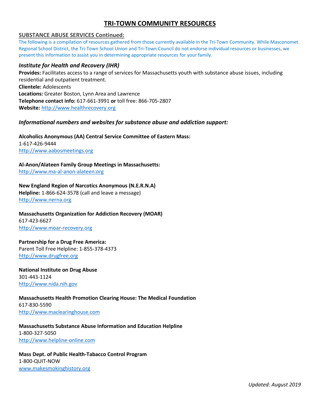## **SUBSTANCE ABUSE SERVICES Continued:**

The following is a compilation of resources gathered from those currently available in the Tri-Town Community. While Masconomet Regional School District, the Tri-Town School Union and Tri-Town Council do not endorse individual resources or businesses, we present this information to assist you in determining appropriate resources for your family.

## *Institute for Health and Recovery (IHR)*

**Provides:** Facilitates access to a range of services for Massachusetts youth with substance abuse issues, including residential and outpatient treatment. **Clientele:** Adolescents **Locations:** Greater Boston, Lynn Area and Lawrence **Telephone contact info:** 617-661-3991 **or** toll free: 866-705-2807 **Website:** [http://www.healthrecovery.org](http://www.healthrecovery.org/) 

## *Informational numbers and websites for substance abuse and addiction support:*

## **Alcoholics Anonymous (AA) Central Service Committee of Eastern Mass:**  1-617-426-9444

[http://www.aabosmeetings.org](http://www.aabosmeetings.org/)

## **Al-Anon/Alateen Family Group Meetings in Massachusetts:**

[http://www.ma-al-anon-alateen.org](http://www.ma-al-anon-alateen.org/)

## **New England Region of Narcotics Anonymous (N.E.R.N.A)**

**Helpline:** 1-866-624-3578 (call and leave a message) [http://www.nerna.org](http://www.nerna.org/)

## **Massachusetts Organization for Addiction Recovery (MOAR)**  617-423-6627 [http://www.moar-recovery.org](http://www.moar-recovery.org/)

## **Partnership for a Drug Free America:**

Parent Toll Free Helpline: 1-855-378-4373 [http://www.drugfree.org](http://www.drugfree.org/)

**National Institute on Drug Abuse**  301-443-1124 [http://www.nida.nih.gov](http://www.nida.nih.gov/)

## **Massachusetts Health Promotion Clearing House: The Medical Foundation** 617-830-5590 [http://www.maclearinghouse.com](http://www.maclearinghouse.com/)

## **Massachusetts Substance Abuse Information and Education Helpline**  1-800-327-5050 [http://www.helpline-online.com](http://www.helpline-online.com/)

## **Mass Dept. of Public Health-Tabacco Control Program**  1-800-QUIT-NOW [www.makesmokinghistory.org](http://www.makesmokinghistory.org/)